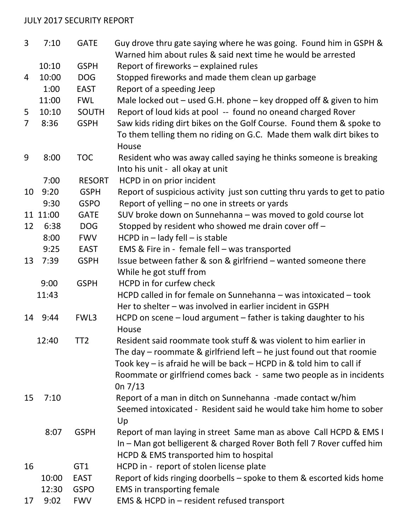## JULY 2017 SECURITY REPORT

| $\overline{3}$ | 7:10     | <b>GATE</b>     | Guy drove thru gate saying where he was going. Found him in GSPH &<br>Warned him about rules & said next time he would be arrested |
|----------------|----------|-----------------|------------------------------------------------------------------------------------------------------------------------------------|
|                | 10:10    | <b>GSPH</b>     | Report of fireworks - explained rules                                                                                              |
| 4              | 10:00    | <b>DOG</b>      | Stopped fireworks and made them clean up garbage                                                                                   |
|                | 1:00     | <b>EAST</b>     | Report of a speeding Jeep                                                                                                          |
|                | 11:00    | <b>FWL</b>      |                                                                                                                                    |
|                |          |                 | Male locked out $-$ used G.H. phone $-$ key dropped off & given to him                                                             |
| 5              | 10:10    | <b>SOUTH</b>    | Report of loud kids at pool -- found no oneand charged Rover                                                                       |
| $\overline{7}$ | 8:36     | <b>GSPH</b>     | Saw kids riding dirt bikes on the Golf Course. Found them & spoke to                                                               |
|                |          |                 | To them telling them no riding on G.C. Made them walk dirt bikes to                                                                |
|                |          |                 | House                                                                                                                              |
| 9              | 8:00     | <b>TOC</b>      | Resident who was away called saying he thinks someone is breaking                                                                  |
|                |          |                 | Into his unit - all okay at unit                                                                                                   |
|                | 7:00     | <b>RESORT</b>   | HCPD in on prior incident                                                                                                          |
| 10             | 9:20     | <b>GSPH</b>     | Report of suspicious activity just son cutting thru yards to get to patio                                                          |
|                | 9:30     | <b>GSPO</b>     | Report of yelling - no one in streets or yards                                                                                     |
|                | 11 11:00 | <b>GATE</b>     | SUV broke down on Sunnehanna - was moved to gold course lot                                                                        |
| 12             | 6:38     | <b>DOG</b>      | Stopped by resident who showed me drain cover off -                                                                                |
|                | 8:00     | <b>FWV</b>      | $HCPD$ in $-$ lady fell $-$ is stable                                                                                              |
|                | 9:25     | <b>EAST</b>     | EMS & Fire in - female fell - was transported                                                                                      |
| 13             | 7:39     | <b>GSPH</b>     | Issue between father & son & girlfriend - wanted someone there                                                                     |
|                |          |                 | While he got stuff from                                                                                                            |
|                | 9:00     | <b>GSPH</b>     | HCPD in for curfew check                                                                                                           |
|                | 11:43    |                 | HCPD called in for female on Sunnehanna - was intoxicated - took                                                                   |
|                |          | FWL3            | Her to shelter - was involved in earlier incident in GSPH                                                                          |
|                | 14 9:44  |                 | HCPD on scene - loud argument - father is taking daughter to his                                                                   |
|                | 12:40    | TT <sub>2</sub> | House<br>Resident said roommate took stuff & was violent to him earlier in                                                         |
|                |          |                 | The day $-$ roommate & girlfriend left $-$ he just found out that roomie                                                           |
|                |          |                 | Took key – is afraid he will be back – HCPD in & told him to call if                                                               |
|                |          |                 | Roommate or girlfriend comes back - same two people as in incidents                                                                |
|                |          |                 | 0n $7/13$                                                                                                                          |
| 15             | 7:10     |                 | Report of a man in ditch on Sunnehanna -made contact w/him                                                                         |
|                |          |                 | Seemed intoxicated - Resident said he would take him home to sober                                                                 |
|                |          |                 | Up                                                                                                                                 |
|                | 8:07     | <b>GSPH</b>     | Report of man laying in street Same man as above Call HCPD & EMS I                                                                 |
|                |          |                 | In - Man got belligerent & charged Rover Both fell 7 Rover cuffed him                                                              |
|                |          |                 | HCPD & EMS transported him to hospital                                                                                             |
| 16             |          | GT1             | HCPD in - report of stolen license plate                                                                                           |
|                | 10:00    | <b>EAST</b>     | Report of kids ringing doorbells - spoke to them & escorted kids home                                                              |
|                | 12:30    | <b>GSPO</b>     | <b>EMS</b> in transporting female                                                                                                  |
| 17             | 9:02     | <b>FWV</b>      | EMS & HCPD in - resident refused transport                                                                                         |
|                |          |                 |                                                                                                                                    |